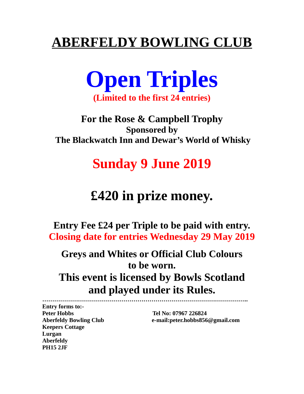## **ABERFELDY BOWLING CLUB**



## **For the Rose & Campbell Trophy Sponsored by The Blackwatch Inn and Dewar's World of Whisky**

## **Sunday 9 June 2019**

## **£420 in prize money.**

**Entry Fee £24 per Triple to be paid with entry. Closing date for entries Wednesday 29 May 2019**

**Greys and Whites or Official Club Colours to be worn. This event is licensed by Bowls Scotland and played under its Rules.**

**…………………………………………………………………………………………..**

**Entry forms to:- Peter Hobbs Tel No: 07967 226824 Keepers Cottage Lurgan Aberfeldy PH15 2JF**

**Aberfeldy Bowling Club e-mail:peter.hobbs856@gmail.com**